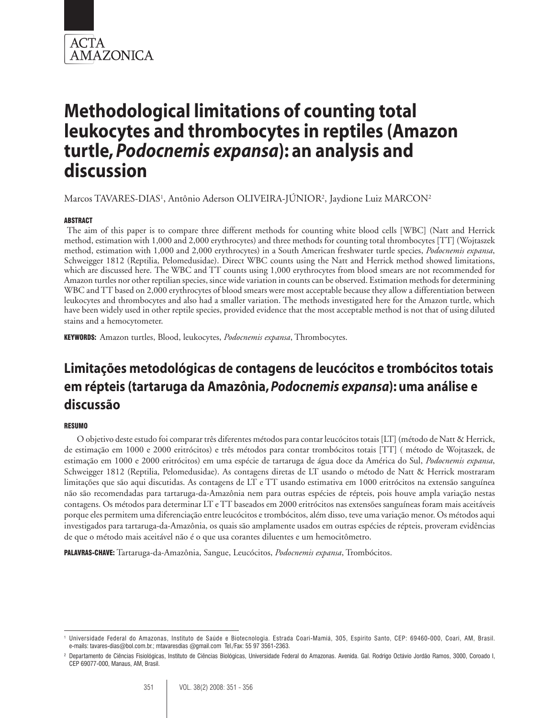

# **Methodological limitations of counting total leukocytes and thrombocytes in reptiles (Amazon turtle,** *Podocnemis expansa***): an analysis and discussion**

Marcos TAVARES-DIAS<sup>1</sup>, Antônio Aderson OLIVEIRA-JÚNIOR<sup>2</sup>, Jaydione Luiz MARCON<sup>2</sup>

#### ABSTRACT

 The aim of this paper is to compare three different methods for counting white blood cells [WBC] (Natt and Herrick method, estimation with 1,000 and 2,000 erythrocytes) and three methods for counting total thrombocytes [TT] (Wojtaszek method, estimation with 1,000 and 2,000 erythrocytes) in a South American freshwater turtle species, *Podocnemis expansa*, Schweigger 1812 (Reptilia, Pelomedusidae). Direct WBC counts using the Natt and Herrick method showed limitations, which are discussed here. The WBC and TT counts using 1,000 erythrocytes from blood smears are not recommended for Amazon turtles nor other reptilian species, since wide variation in counts can be observed. Estimation methods for determining WBC and TT based on 2,000 erythrocytes of blood smears were most acceptable because they allow a differentiation between leukocytes and thrombocytes and also had a smaller variation. The methods investigated here for the Amazon turtle, which have been widely used in other reptile species, provided evidence that the most acceptable method is not that of using diluted stains and a hemocytometer.

KEYWORDS: Amazon turtles, Blood, leukocytes, *Podocnemis expansa*, Thrombocytes.

# **Limitações metodológicas de contagens de leucócitos e trombócitos totais em répteis (tartaruga da Amazônia,** *Podocnemis expansa***): uma análise e discussão**

#### **RESUMO**

O objetivo deste estudo foi comparar três diferentes métodos para contar leucócitos totais [LT] (método de Natt & Herrick, de estimação em 1000 e 2000 eritrócitos) e três métodos para contar trombócitos totais [TT] ( método de Wojtaszek, de estimação em 1000 e 2000 eritrócitos) em uma espécie de tartaruga de água doce da América do Sul, *Podocnemis expansa*, Schweigger 1812 (Reptilia, Pelomedusidae). As contagens diretas de LT usando o método de Natt & Herrick mostraram limitações que são aqui discutidas. As contagens de LT e TT usando estimativa em 1000 eritrócitos na extensão sanguínea não são recomendadas para tartaruga-da-Amazônia nem para outras espécies de répteis, pois houve ampla variação nestas contagens. Os métodos para determinar LT e TT baseados em 2000 eritrócitos nas extensões sanguíneas foram mais aceitáveis porque eles permitem uma diferenciação entre leucócitos e trombócitos, além disso, teve uma variação menor. Os métodos aqui investigados para tartaruga-da-Amazônia, os quais são amplamente usados em outras espécies de répteis, proveram evidências de que o método mais aceitável não é o que usa corantes diluentes e um hemocitômetro.

PALAVRAS-CHAVE: Tartaruga-da-Amazônia, Sangue, Leucócitos, *Podocnemis expansa*, Trombócitos.

<sup>1</sup> Universidade Federal do Amazonas, Instituto de Saúde e Biotecnologia. Estrada Coari-Mamiá, 305, Espírito Santo, CEP: 69460-000, Coari, AM, Brasil. e-mails: tavares-dias@bol.com.br.; mtavaresdias @gmail.com Tel./Fax: 55 97 3561-2363.

<sup>2</sup> Departamento de Ciências Fisiológicas, Instituto de Ciências Biológicas, Universidade Federal do Amazonas. Avenida. Gal. Rodrigo Octávio Jordão Ramos, 3000, Coroado I, CEP 69077-000, Manaus, AM, Brasil.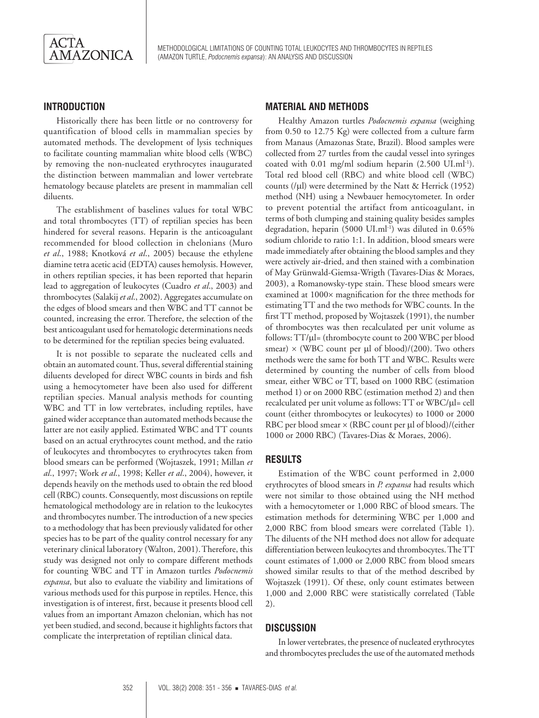

Methodological limitations of counting total leukocytes and thrombocytes in reptiles (amazon turtle, *Podocnemis expansa*): an analysis and discussion

### **INTRODUCTION**

Historically there has been little or no controversy for quantification of blood cells in mammalian species by automated methods. The development of lysis techniques to facilitate counting mammalian white blood cells (WBC) by removing the non-nucleated erythrocytes inaugurated the distinction between mammalian and lower vertebrate hematology because platelets are present in mammalian cell diluents.

The establishment of baselines values for total WBC and total thrombocytes (TT) of reptilian species has been hindered for several reasons. Heparin is the anticoagulant recommended for blood collection in chelonians (Muro *et al*., 1988; Knotková *et al*., 2005) because the ethylene diamine tetra acetic acid (EDTA) causes hemolysis. However, in others reptilian species, it has been reported that heparin lead to aggregation of leukocytes (Cuadro *et al*., 2003) and thrombocytes (Salakij *et al*., 2002). Aggregates accumulate on the edges of blood smears and then WBC and TT cannot be counted, increasing the error. Therefore, the selection of the best anticoagulant used for hematologic determinations needs to be determined for the reptilian species being evaluated.

It is not possible to separate the nucleated cells and obtain an automated count. Thus, several differential staining diluents developed for direct WBC counts in birds and fish using a hemocytometer have been also used for different reptilian species. Manual analysis methods for counting WBC and TT in low vertebrates, including reptiles, have gained wider acceptance than automated methods because the latter are not easily applied. Estimated WBC and TT counts based on an actual erythrocytes count method, and the ratio of leukocytes and thrombocytes to erythrocytes taken from blood smears can be performed (Wojtaszek, 1991; Millan *et al*., 1997; Work *et al*., 1998; Keller *et al*., 2004), however, it depends heavily on the methods used to obtain the red blood cell (RBC) counts. Consequently, most discussions on reptile hematological methodology are in relation to the leukocytes and thrombocytes number. The introduction of a new species to a methodology that has been previously validated for other species has to be part of the quality control necessary for any veterinary clinical laboratory (Walton, 2001).Therefore, this study was designed not only to compare different methods for counting WBC and TT in Amazon turtles *Podocnemis expansa*, but also to evaluate the viability and limitations of various methods used for this purpose in reptiles. Hence, this investigation is of interest, first, because it presents blood cell values from an important Amazon chelonian, which has not yet been studied, and second, because it highlights factors that complicate the interpretation of reptilian clinical data.

#### **MATERIAL AND METHODS**

Healthy Amazon turtles *Podocnemis expansa* (weighing from 0.50 to 12.75 Kg) were collected from a culture farm from Manaus (Amazonas State, Brazil). Blood samples were collected from 27 turtles from the caudal vessel into syringes coated with 0.01 mg/ml sodium heparin (2.500 UI.ml-1). Total red blood cell (RBC) and white blood cell (WBC) counts ( $\mu$ l) were determined by the Natt & Herrick (1952) method (NH) using a Newbauer hemocytometer. In order to prevent potential the artifact from anticoagulant, in terms of both clumping and staining quality besides samples degradation, heparin (5000 UI.ml-1) was diluted in 0.65% sodium chloride to ratio 1:1. In addition, blood smears were made immediately after obtaining the blood samples and they were actively air-dried, and then stained with a combination of May Grünwald-Giemsa-Wrigth (Tavares-Dias & Moraes, 2003), a Romanowsky-type stain. These blood smears were examined at 1000× magnification for the three methods for estimating TT and the two methods for WBC counts. In the first TT method, proposed by Wojtaszek (1991), the number of thrombocytes was then recalculated per unit volume as follows: TT/µl= (thrombocyte count to 200 WBC per blood smear)  $\times$  (WBC count per µl of blood)/(200). Two others methods were the same for both TT and WBC. Results were determined by counting the number of cells from blood smear, either WBC or TT, based on 1000 RBC (estimation method 1) or on 2000 RBC (estimation method 2) and then recalculated per unit volume as follows: TT or WBC/µl= cell count (either thrombocytes or leukocytes) to 1000 or 2000 RBC per blood smear  $\times$  (RBC count per µl of blood)/(either 1000 or 2000 RBC) (Tavares-Dias & Moraes, 2006).

#### **RESULTS**

Estimation of the WBC count performed in 2,000 erythrocytes of blood smears in *P. expansa* had results which were not similar to those obtained using the NH method with a hemocytometer or 1,000 RBC of blood smears. The estimation methods for determining WBC per 1,000 and 2,000 RBC from blood smears were correlated (Table 1). The diluents of the NH method does not allow for adequate differentiation between leukocytes and thrombocytes. The TT count estimates of 1,000 or 2,000 RBC from blood smears showed similar results to that of the method described by Wojtaszek (1991). Of these, only count estimates between 1,000 and 2,000 RBC were statistically correlated (Table 2).

#### **DISCUSSION**

In lower vertebrates, the presence of nucleated erythrocytes and thrombocytes precludes the use of the automated methods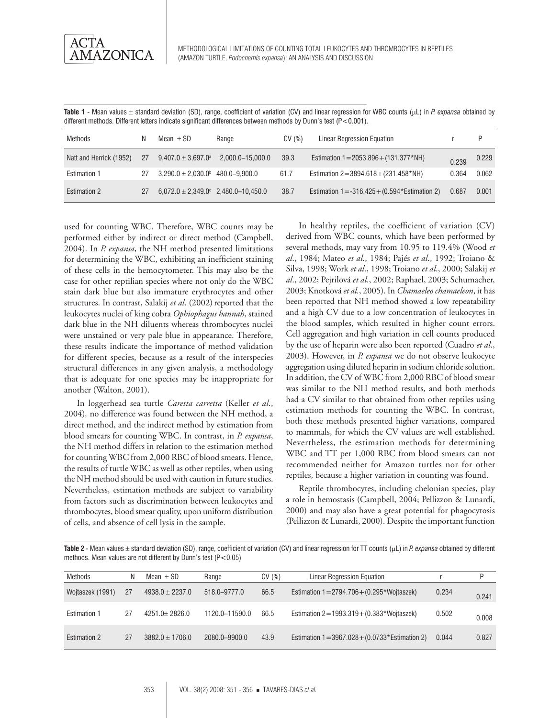**Table 1** - Mean values ± standard deviation (SD), range, coefficient of variation (CV) and linear regression for WBC counts (µL) in *P. expansa* obtained by different methods. Different letters indicate significant differences between methods by Dunn's test (P<0.001).

| Methods                 | N  | Mean $+$ SD                                      | Range            | CV(%) | Linear Regression Equation                                     |       | P     |
|-------------------------|----|--------------------------------------------------|------------------|-------|----------------------------------------------------------------|-------|-------|
| Natt and Herrick (1952) | 27 | $9,407.0 \pm 3,697.0^{\text{a}}$                 | 2,000.0-15,000.0 | 39.3  | Estimation $1 = 2053.896 + (131.377 * NH)$                     | 0.239 | 0.229 |
| <b>Estimation 1</b>     | 27 | $3,290.0 \pm 2,030.0$ <sup>b</sup> 480.0-9,900.0 |                  | 61.7  | Estimation $2 = 3894.618 + (231.458*NH)$                       | 0.364 | 0.062 |
| <b>Estimation 2</b>     | 27 | $6,072.0 \pm 2,349.0^{\circ}$ 2,480.0-10,450.0   |                  | 38.7  | Estimation $1 = -316.425 + (0.594 \times \text{Estimation 2})$ | 0.687 | 0.001 |

used for counting WBC. Therefore, WBC counts may be performed either by indirect or direct method (Campbell, 2004). In *P. expansa*, the NH method presented limitations for determining the WBC, exhibiting an inefficient staining of these cells in the hemocytometer. This may also be the case for other reptilian species where not only do the WBC stain dark blue but also immature erythrocytes and other structures. In contrast, Salakij *et al.* (2002) reported that the leukocytes nuclei of king cobra *Ophiophagus hannah*, stained dark blue in the NH diluents whereas thrombocytes nuclei were unstained or very pale blue in appearance. Therefore, these results indicate the importance of method validation for different species, because as a result of the interspecies structural differences in any given analysis, a methodology that is adequate for one species may be inappropriate for another (Walton, 2001).

In loggerhead sea turtle *Caretta carretta* (Keller *et al*., 2004)*,* no difference was found between the NH method, a direct method, and the indirect method by estimation from blood smears for counting WBC. In contrast, in *P. expansa*, the NH method differs in relation to the estimation method for counting WBC from 2,000 RBC of blood smears. Hence, the results of turtle WBC as well as other reptiles, when using the NH method should be used with caution in future studies. Nevertheless, estimation methods are subject to variability from factors such as discrimination between leukocytes and thrombocytes, blood smear quality, upon uniform distribution of cells, and absence of cell lysis in the sample.

In healthy reptiles, the coefficient of variation (CV) derived from WBC counts, which have been performed by several methods, may vary from 10.95 to 119.4% (Wood *et al*., 1984; Mateo *et al*., 1984; Pajés *et al*., 1992; Troiano & Silva, 1998; Work *et al*., 1998; Troiano *et al*., 2000; Salakij *et al*., 2002; Pejrilová *et al*., 2002; Raphael, 2003; Schumacher, 2003; Knotková *et al.*, 2005). In *Chamaeleo chamaeleon*, it has been reported that NH method showed a low repeatability and a high CV due to a low concentration of leukocytes in the blood samples, which resulted in higher count errors. Cell aggregation and high variation in cell counts produced by the use of heparin were also been reported (Cuadro *et al*., 2003). However, in *P. expansa* we do not observe leukocyte aggregation using diluted heparin in sodium chloride solution. In addition, the CV of WBC from 2,000 RBC of blood smear was similar to the NH method results, and both methods had a CV similar to that obtained from other reptiles using estimation methods for counting the WBC. In contrast, both these methods presented higher variations, compared to mammals, for which the CV values are well established. Nevertheless, the estimation methods for determining WBC and TT per 1,000 RBC from blood smears can not recommended neither for Amazon turtles nor for other reptiles, because a higher variation in counting was found.

Reptile thrombocytes, including chelonian species, play a role in hemostasis (Campbell, 2004; Pellizzon & Lunardi, 2000) and may also have a great potential for phagocytosis (Pellizzon & Lunardi, 2000). Despite the important function

**Table 2** - Mean values ± standard deviation (SD), range, coefficient of variation (CV) and linear regression for TT counts (µL) in *P. expansa* obtained by different methods. Mean values are not different by Dunn's test (P<0.05)

| Methods             | N  | Mean $+$ SD       | Range          | CV(%) | <b>Linear Regression Equation</b>                 |       |       |
|---------------------|----|-------------------|----------------|-------|---------------------------------------------------|-------|-------|
| Wojtaszek (1991)    | 27 | $4938.0 + 2237.0$ | 518.0-9777.0   | 66.5  | Estimation $1 = 2794.706 + (0.295*Wojtasek)$      | 0.234 | 0.241 |
| <b>Estimation 1</b> | 27 | $4251.0 + 2826.0$ | 1120.0-11590.0 | 66.5  | Estimation $2 = 1993.319 + (0.383 * Wojtaszek)$   | 0.502 | 0.008 |
| <b>Estimation 2</b> | 27 | $3882.0 + 1706.0$ | 2080.0-9900.0  | 43.9  | Estimation $1 = 3967.028 + (0.0733*Estimation 2)$ | 0.044 | 0.827 |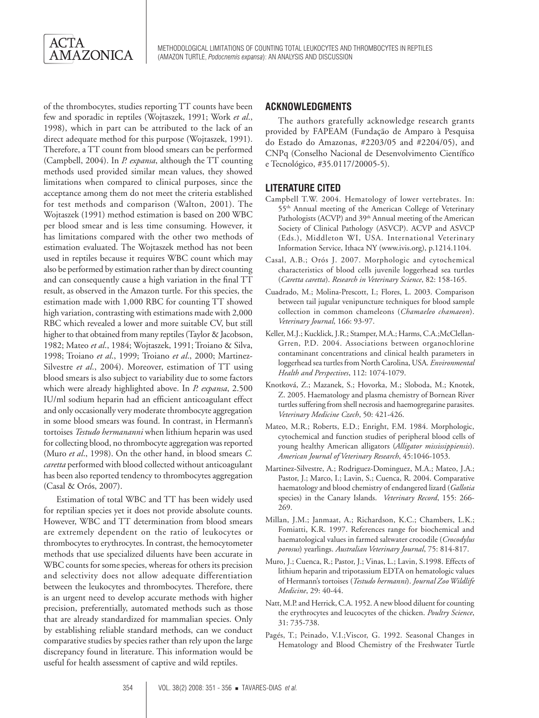of the thrombocytes, studies reporting TT counts have been few and sporadic in reptiles (Wojtaszek, 1991; Work *et al*., 1998), which in part can be attributed to the lack of an direct adequate method for this purpose (Wojtaszek, 1991). Therefore, a TT count from blood smears can be performed (Campbell, 2004). In *P. expansa*, although the TT counting methods used provided similar mean values, they showed limitations when compared to clinical purposes, since the acceptance among them do not meet the criteria established for test methods and comparison (Walton, 2001). The Wojtaszek (1991) method estimation is based on 200 WBC per blood smear and is less time consuming. However, it has limitations compared with the other two methods of estimation evaluated. The Wojtaszek method has not been used in reptiles because it requires WBC count which may also be performed by estimation rather than by direct counting and can consequently cause a high variation in the final TT result, as observed in the Amazon turtle. For this species, the estimation made with 1,000 RBC for counting TT showed high variation, contrasting with estimations made with 2,000 RBC which revealed a lower and more suitable CV, but still higher to that obtained from many reptiles (Taylor & Jacobson, 1982; Mateo *et al*., 1984; Wojtaszek, 1991; Troiano & Silva, 1998; Troiano *et al*., 1999; Troiano *et al*., 2000; Martinez-Silvestre *et al*., 2004). Moreover, estimation of TT using blood smears is also subject to variability due to some factors which were already highlighted above. In *P. expansa*, 2.500 IU/ml sodium heparin had an efficient anticoagulant effect and only occasionally very moderate thrombocyte aggregation in some blood smears was found. In contrast, in Hermann's tortoises *Testudo hermananni* when lithium heparin was used for collecting blood, no thrombocyte aggregation was reported (Muro *et al*., 1998). On the other hand, in blood smears *C. caretta* performed with blood collected without anticoagulant has been also reported tendency to thrombocytes aggregation (Casal & Orós, 2007).

Estimation of total WBC and TT has been widely used for reptilian species yet it does not provide absolute counts. However, WBC and TT determination from blood smears are extremely dependent on the ratio of leukocytes or thrombocytes to erythrocytes. In contrast, the hemocytometer methods that use specialized diluents have been accurate in WBC counts for some species, whereas for others its precision and selectivity does not allow adequate differentiation between the leukocytes and thrombocytes. Therefore, there is an urgent need to develop accurate methods with higher precision, preferentially, automated methods such as those that are already standardized for mammalian species. Only by establishing reliable standard methods, can we conduct comparative studies by species rather than rely upon the large discrepancy found in literature. This information would be useful for health assessment of captive and wild reptiles.

## **ACKNOWLEDGMENTS**

The authors gratefully acknowledge research grants provided by FAPEAM (Fundação de Amparo à Pesquisa do Estado do Amazonas, #2203/05 and #2204/05), and CNPq (Conselho Nacional de Desenvolvimento Científico e Tecnológico, #35.0117/20005-5).

# **LITERATURE CITED**

- Campbell T.W. 2004. Hematology of lower vertebrates. In: 55<sup>th</sup> Annual meeting of the American College of Veterinary Pathologists (ACVP) and 39<sup>th</sup> Annual meeting of the American Society of Clinical Pathology (ASVCP). ACVP and ASVCP (Eds.), Middleton WI, USA. International Veterinary Information Service, Ithaca NY (www.ivis.org), p.1214.1104.
- Casal, A.B.; Orós J. 2007. Morphologic and cytochemical characteristics of blood cells juvenile loggerhead sea turtles (*Caretta caretta*). *Research in Veterinary Science*, 82: 158-165.
- Cuadrado, M.; Molina-Prescott, I.; Flores, L. 2003. Comparison between tail jugular venipuncture techniques for blood sample collection in common chameleons (*Chamaeleo chamaeon*). *Veterinary Journal*, 166: 93-97.
- Keller, M.J.; Kucklick, J.R.; Stamper, M.A.; Harms, C.A.;McClellan-Grren, P.D. 2004. Associations between organochlorine contaminant concentrations and clinical health parameters in loggerhead sea turtles from North Carolina, USA. *Environmental Health and Perspectives*, 112: 1074-1079.
- Knotková, Z.; Mazanek, S.; Hovorka, M.; Sloboda, M.; Knotek, Z. 2005. Haematology and plasma chemistry of Bornean River turtles suffering from shell necrosis and haemogregarine parasites. *Veterinary Medicine Czech*, 50: 421-426.
- Mateo, M.R.; Roberts, E.D.; Enright, F.M. 1984. Morphologic, cytochemical and function studies of peripheral blood cells of young healthy American alligators (*Alligator mississippiensis*). *American Journal of Veterinary Research*, 45:1046-1053.
- Martinez-Silvestre, A.; Rodriguez-Dominguez, M.A.; Mateo, J.A.; Pastor, J.; Marco, I.; Lavin, S.; Cuenca, R. 2004. Comparative haematology and blood chemistry of endangered lizard (*Gallotia* species) in the Canary Islands. *Veterinary Record*, 155: 266- 269.
- Millan, J.M.; Janmaat, A.; Richardson, K.C.; Chambers, L.K.; Fomiatti, K.R. 1997. References range for biochemical and haematological values in farmed saltwater crocodile (*Crocodylus porosus*) yearlings. *Australian Veterinary Journal*, 75: 814-817.
- Muro, J.; Cuenca, R.; Pastor, J.; Vinas, L.; Lavin, S.1998. Effects of lithium heparin and tripotassium EDTA on hematologic values of Hermann's tortoises (*Testudo hermanni*). *Journal Zoo Wildlife Medicine*, 29: 40-44.
- Natt, M.P. and Herrick, C.A. 1952. A new blood diluent for counting the erythrocytes and leucocytes of the chicken. *Poultry Science*, 31: 735-738.
- Pagés, T.; Peinado, V.I.;Viscor, G. 1992. Seasonal Changes in Hematology and Blood Chemistry of the Freshwater Turtle